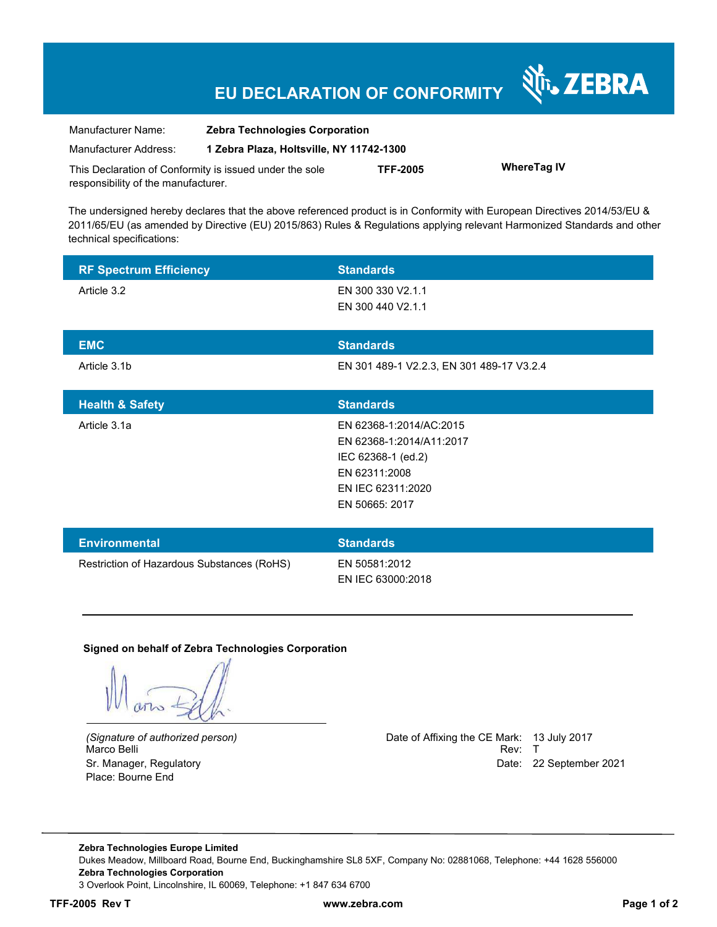## **EU DECLARATION OF CONFORMITY**

| Manufacturer Name:                                      | <b>Zebra Technologies Corporation</b>    |                 |                    |
|---------------------------------------------------------|------------------------------------------|-----------------|--------------------|
| Manufacturer Address:                                   | 1 Zebra Plaza, Holtsville, NY 11742-1300 |                 |                    |
| This Declaration of Conformity is issued under the sole |                                          | <b>TFF-2005</b> | <b>WhereTag IV</b> |

The undersigned hereby declares that the above referenced product is in Conformity with European Directives 2014/53/EU & 2011/65/EU (as amended by Directive (EU) 2015/863) Rules & Regulations applying relevant Harmonized Standards and other technical specifications:

| <b>RF Spectrum Efficiency</b>              | <b>Standards</b>                          |
|--------------------------------------------|-------------------------------------------|
| Article 3.2                                | EN 300 330 V2.1.1                         |
|                                            | EN 300 440 V2.1.1                         |
| <b>EMC</b>                                 | <b>Standards</b>                          |
| Article 3.1b                               | EN 301 489-1 V2.2.3, EN 301 489-17 V3.2.4 |
|                                            |                                           |
| <b>Health &amp; Safety</b>                 | <b>Standards</b>                          |
| Article 3.1a                               | EN 62368-1:2014/AC:2015                   |
|                                            | EN 62368-1:2014/A11:2017                  |
|                                            | IEC 62368-1 (ed.2)                        |
|                                            | EN 62311:2008                             |
|                                            | EN IEC 62311:2020                         |
|                                            | EN 50665: 2017                            |
|                                            |                                           |
| <b>Environmental</b>                       | <b>Standards</b>                          |
| Restriction of Hazardous Substances (RoHS) | EN 50581:2012                             |
|                                            | EN IEC 63000:2018                         |

#### **Signed on behalf of Zebra Technologies Corporation**

Place: Bourne End

responsibility of the manufacturer.

*(Signature of authorized person)* Date of Affixing the CE Mark: 13 July 2017 Marco Belli Rev: T Sr. Manager, Regulatory Date: 22 September 2021

र्शे<sub>ं</sub> ZEBRA

**Zebra Technologies Europe Limited**  Dukes Meadow, Millboard Road, Bourne End, Buckinghamshire SL8 5XF, Company No: 02881068, Telephone: +44 1628 556000 **Zebra Technologies Corporation**  3 Overlook Point, Lincolnshire, IL 60069, Telephone: +1 847 634 6700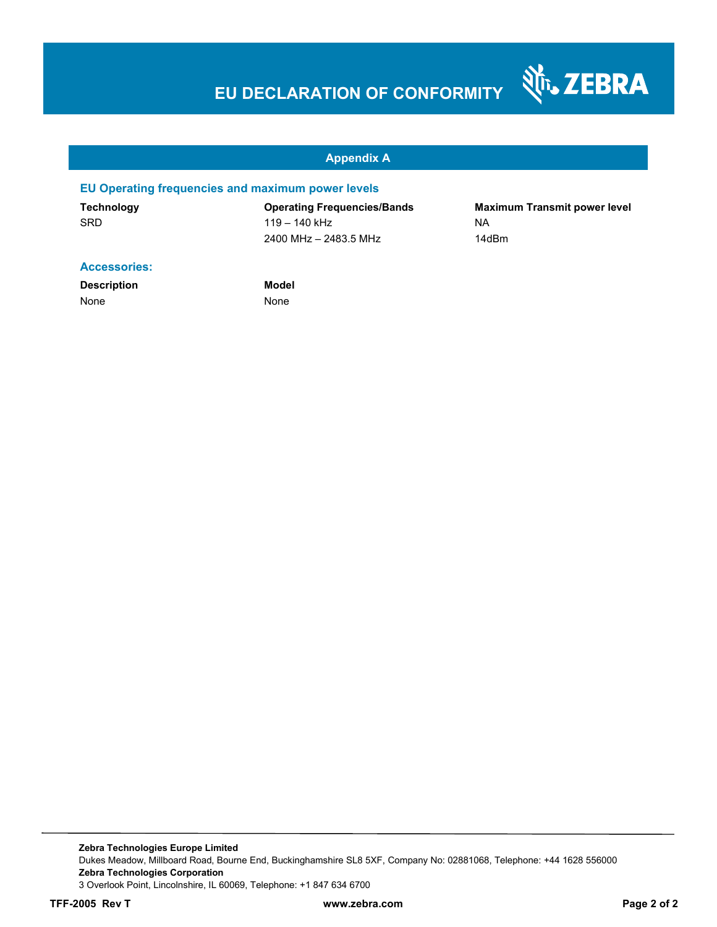# **EU DECLARATION OF CONFORMITY**

#### **Appendix A**

#### **EU Operating frequencies and maximum power levels**

SRD 119 – 140 kHz NA 2400 MHz – 2483.5 MHz 14dBm

**Technology Operating Frequencies/Bands Maximum Transmit power level** 

Nr. ZEBRA

#### **Accessories:**

**Description Model** None None